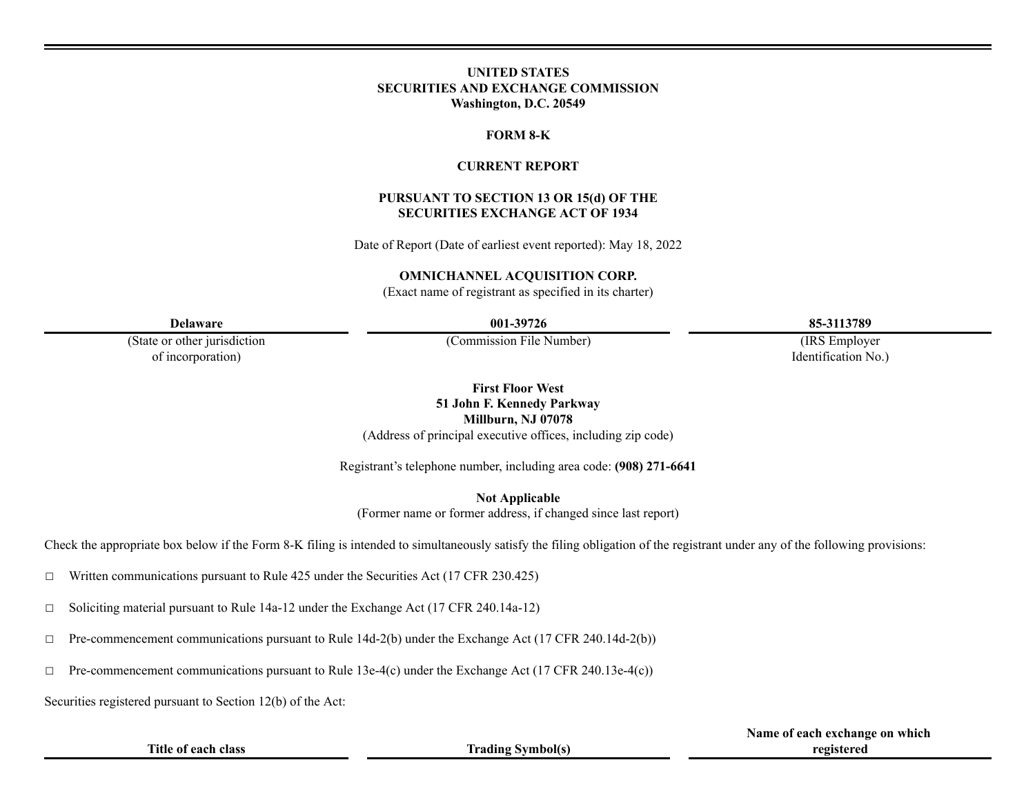### **UNITED STATES SECURITIES AND EXCHANGE COMMISSION Washington, D.C. 20549**

#### **FORM 8-K**

### **CURRENT REPORT**

#### **PURSUANT TO SECTION 13 OR 15(d) OF THE SECURITIES EXCHANGE ACT OF 1934**

Date of Report (Date of earliest event reported): May 18, 2022

#### **OMNICHANNEL ACQUISITION CORP.**

(Exact name of registrant as specified in its charter)

(State or other jurisdiction of incorporation)

(Commission File Number) (IRS Employer

**Delaware 001-39726 85-3113789**

Identification No.)

**First Floor West 51 John F. Kennedy Parkway Millburn, NJ 07078**

(Address of principal executive offices, including zip code)

Registrant's telephone number, including area code: **(908) 271-6641**

**Not Applicable**

(Former name or former address, if changed since last report)

Check the appropriate box below if the Form 8-K filing is intended to simultaneously satisfy the filing obligation of the registrant under any of the following provisions:

☐ Written communications pursuant to Rule 425 under the Securities Act (17 CFR 230.425)

☐ Soliciting material pursuant to Rule 14a-12 under the Exchange Act (17 CFR 240.14a-12)

 $\Box$  Pre-commencement communications pursuant to Rule 14d-2(b) under the Exchange Act (17 CFR 240.14d-2(b))

 $\Box$  Pre-commencement communications pursuant to Rule 13e-4(c) under the Exchange Act (17 CFR 240.13e-4(c))

Securities registered pursuant to Section 12(b) of the Act:

**Title of each class Trading Symbol(s)**

**Name of each exchange on which registered**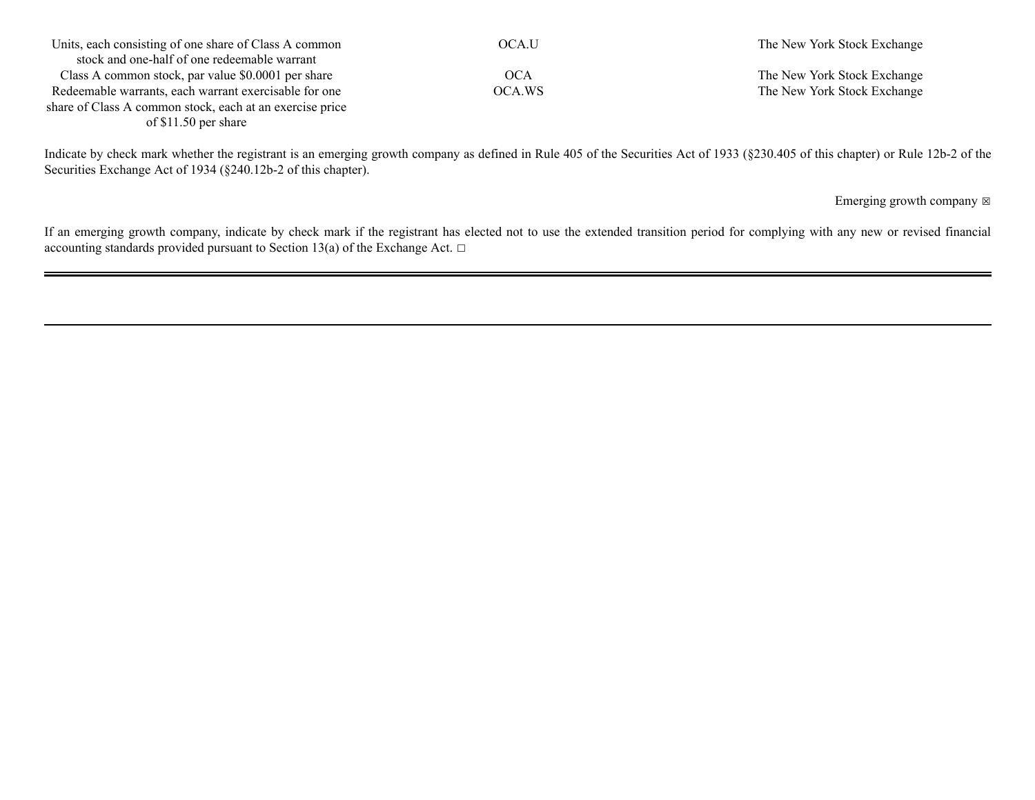| Units, each consisting of one share of Class A common    | OCA.U  | The New York Stock Exchange |
|----------------------------------------------------------|--------|-----------------------------|
| stock and one-half of one redeemable warrant             |        |                             |
| Class A common stock, par value \$0.0001 per share       | OCA    | The New York Stock Exchange |
| Redeemable warrants, each warrant exercisable for one    | OCA.WS | The New York Stock Exchange |
| share of Class A common stock, each at an exercise price |        |                             |
| of $$11.50$ per share                                    |        |                             |

Indicate by check mark whether the registrant is an emerging growth company as defined in Rule 405 of the Securities Act of 1933 (§230.405 of this chapter) or Rule 12b-2 of the Securities Exchange Act of 1934 (§240.12b-2 of this chapter).

Emerging growth company  $\boxtimes$ 

If an emerging growth company, indicate by check mark if the registrant has elected not to use the extended transition period for complying with any new or revised financial accounting standards provided pursuant to Section 13(a) of the Exchange Act.  $□$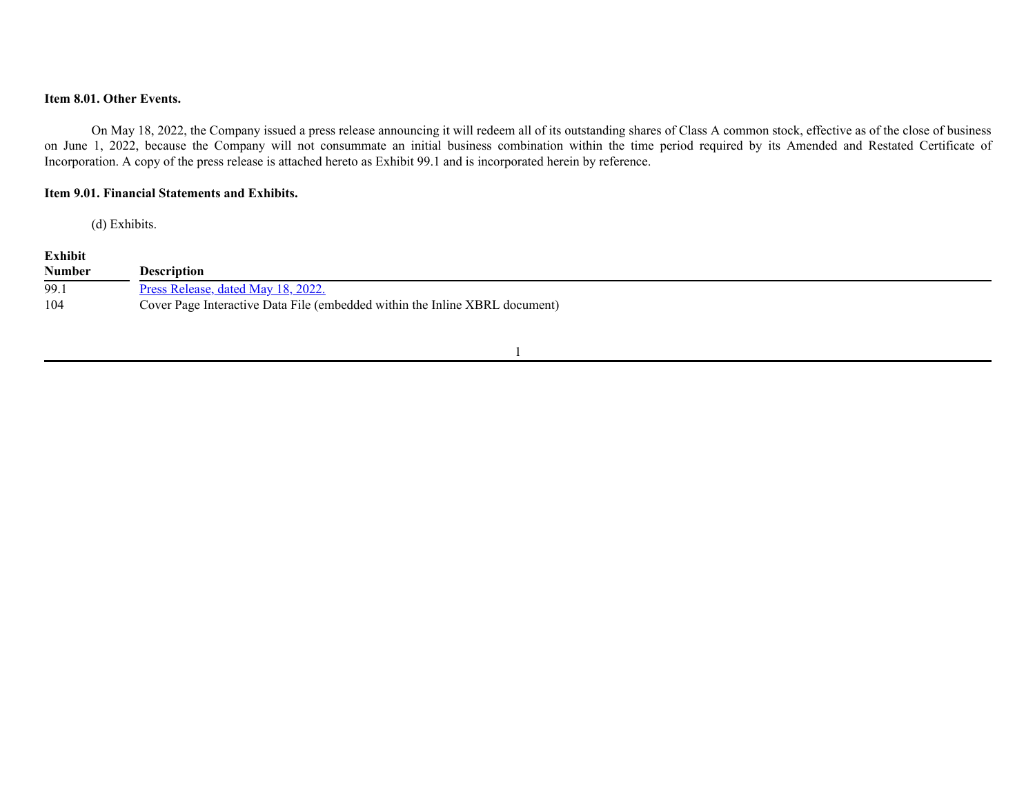# **Item 8.01. Other Events.**

On May 18, 2022, the Company issued a press release announcing it will redeem all of its outstanding shares of Class A common stock, effective as of the close of business on June 1, 2022, because the Company will not consummate an initial business combination within the time period required by its Amended and Restated Certificate of Incorporation. A copy of the press release is attached hereto as Exhibit 99.1 and is incorporated herein by reference.

## **Item 9.01. Financial Statements and Exhibits.**

(d) Exhibits.

# **Exhibit**

| <b>Number</b> | Description                                                                 |
|---------------|-----------------------------------------------------------------------------|
| 99.1          | Press Release, dated May 18, 2022.                                          |
| 104           | Cover Page Interactive Data File (embedded within the Inline XBRL document) |

1